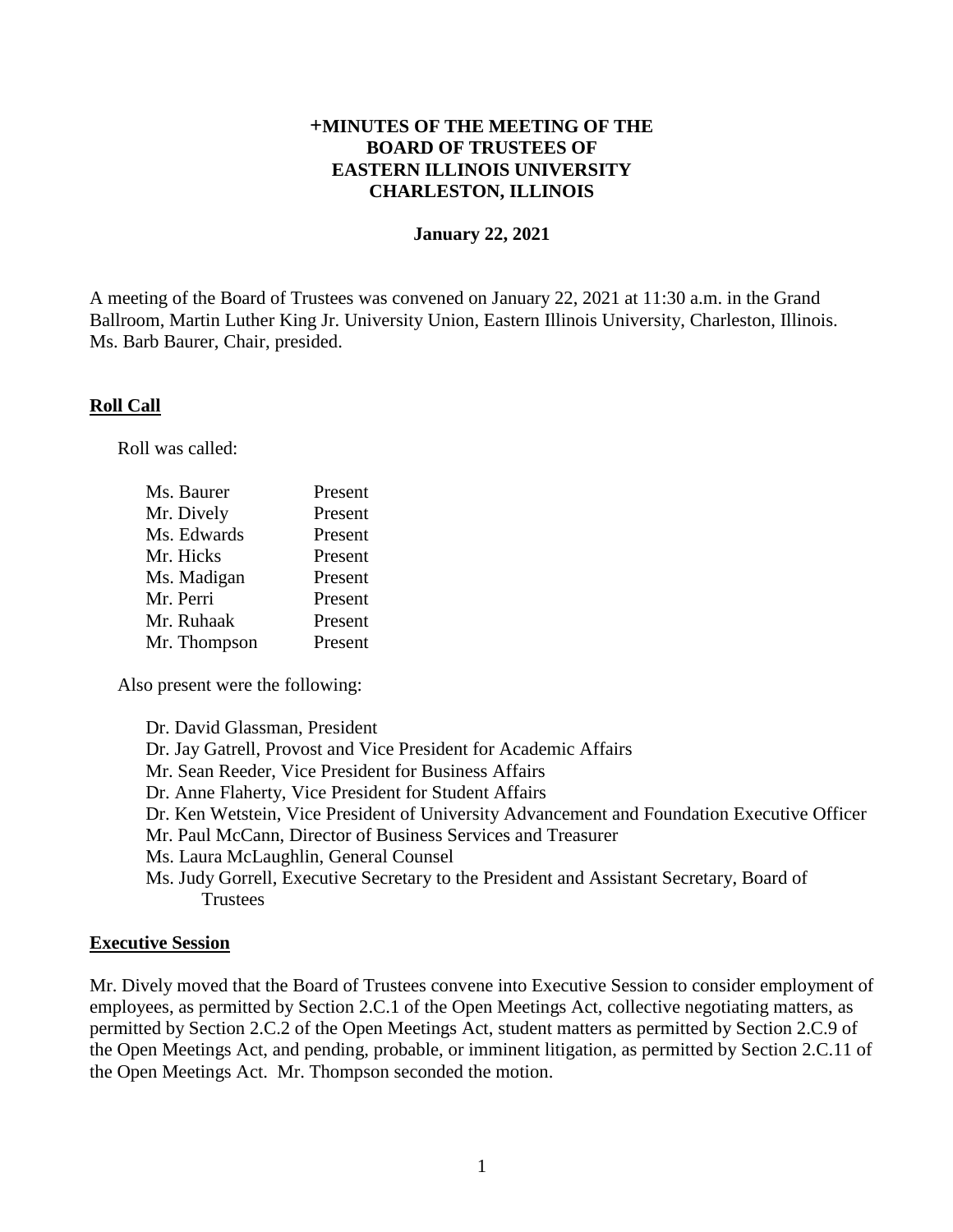# **+MINUTES OF THE MEETING OF THE BOARD OF TRUSTEES OF EASTERN ILLINOIS UNIVERSITY CHARLESTON, ILLINOIS**

#### **January 22, 2021**

A meeting of the Board of Trustees was convened on January 22, 2021 at 11:30 a.m. in the Grand Ballroom, Martin Luther King Jr. University Union, Eastern Illinois University, Charleston, Illinois. Ms. Barb Baurer, Chair, presided.

#### **Roll Call**

Roll was called:

| Ms. Baurer   | Present |
|--------------|---------|
| Mr. Dively   | Present |
| Ms. Edwards  | Present |
| Mr. Hicks    | Present |
| Ms. Madigan  | Present |
| Mr. Perri    | Present |
| Mr. Ruhaak   | Present |
| Mr. Thompson | Present |

Also present were the following:

Dr. David Glassman, President Dr. Jay Gatrell, Provost and Vice President for Academic Affairs Mr. Sean Reeder, Vice President for Business Affairs Dr. Anne Flaherty, Vice President for Student Affairs Dr. Ken Wetstein, Vice President of University Advancement and Foundation Executive Officer Mr. Paul McCann, Director of Business Services and Treasurer Ms. Laura McLaughlin, General Counsel Ms. Judy Gorrell, Executive Secretary to the President and Assistant Secretary, Board of **Trustees** 

### **Executive Session**

Mr. Dively moved that the Board of Trustees convene into Executive Session to consider employment of employees, as permitted by Section 2.C.1 of the Open Meetings Act, collective negotiating matters, as permitted by Section 2.C.2 of the Open Meetings Act, student matters as permitted by Section 2.C.9 of the Open Meetings Act, and pending, probable, or imminent litigation, as permitted by Section 2.C.11 of the Open Meetings Act. Mr. Thompson seconded the motion.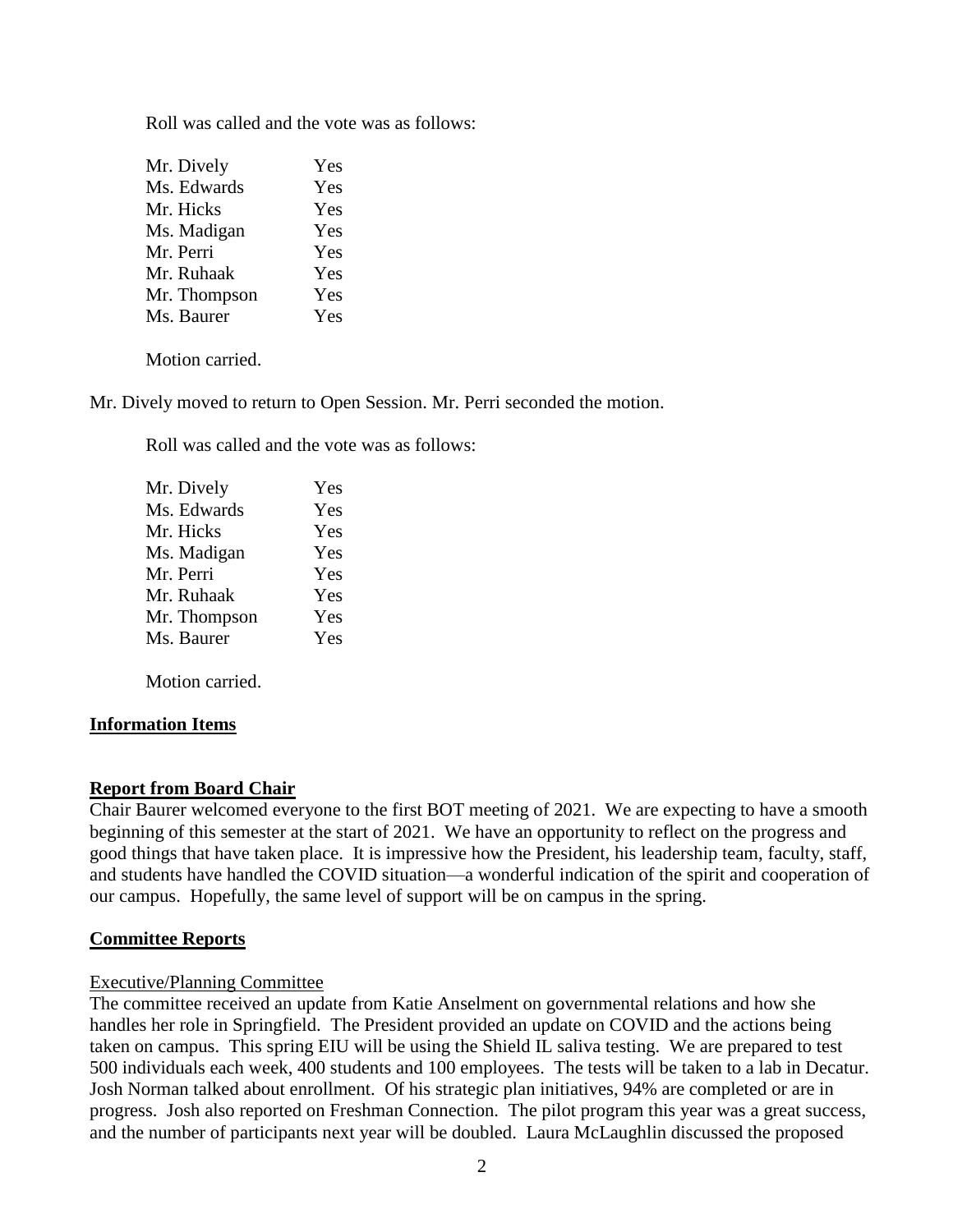Roll was called and the vote was as follows:

| Mr. Dively   | Yes |
|--------------|-----|
| Ms. Edwards  | Yes |
| Mr. Hicks    | Yes |
| Ms. Madigan  | Yes |
| Mr. Perri    | Yes |
| Mr. Ruhaak   | Yes |
| Mr. Thompson | Yes |
| Ms. Baurer   | Yes |
|              |     |

Motion carried.

Mr. Dively moved to return to Open Session. Mr. Perri seconded the motion.

Roll was called and the vote was as follows:

| Yes |
|-----|
| Yes |
| Yes |
| Yes |
| Yes |
| Yes |
| Yes |
| Yes |
|     |

Motion carried.

### **Information Items**

### **Report from Board Chair**

Chair Baurer welcomed everyone to the first BOT meeting of 2021. We are expecting to have a smooth beginning of this semester at the start of 2021. We have an opportunity to reflect on the progress and good things that have taken place. It is impressive how the President, his leadership team, faculty, staff, and students have handled the COVID situation—a wonderful indication of the spirit and cooperation of our campus. Hopefully, the same level of support will be on campus in the spring.

### **Committee Reports**

### Executive/Planning Committee

The committee received an update from Katie Anselment on governmental relations and how she handles her role in Springfield. The President provided an update on COVID and the actions being taken on campus. This spring EIU will be using the Shield IL saliva testing. We are prepared to test 500 individuals each week, 400 students and 100 employees. The tests will be taken to a lab in Decatur. Josh Norman talked about enrollment. Of his strategic plan initiatives, 94% are completed or are in progress. Josh also reported on Freshman Connection. The pilot program this year was a great success, and the number of participants next year will be doubled. Laura McLaughlin discussed the proposed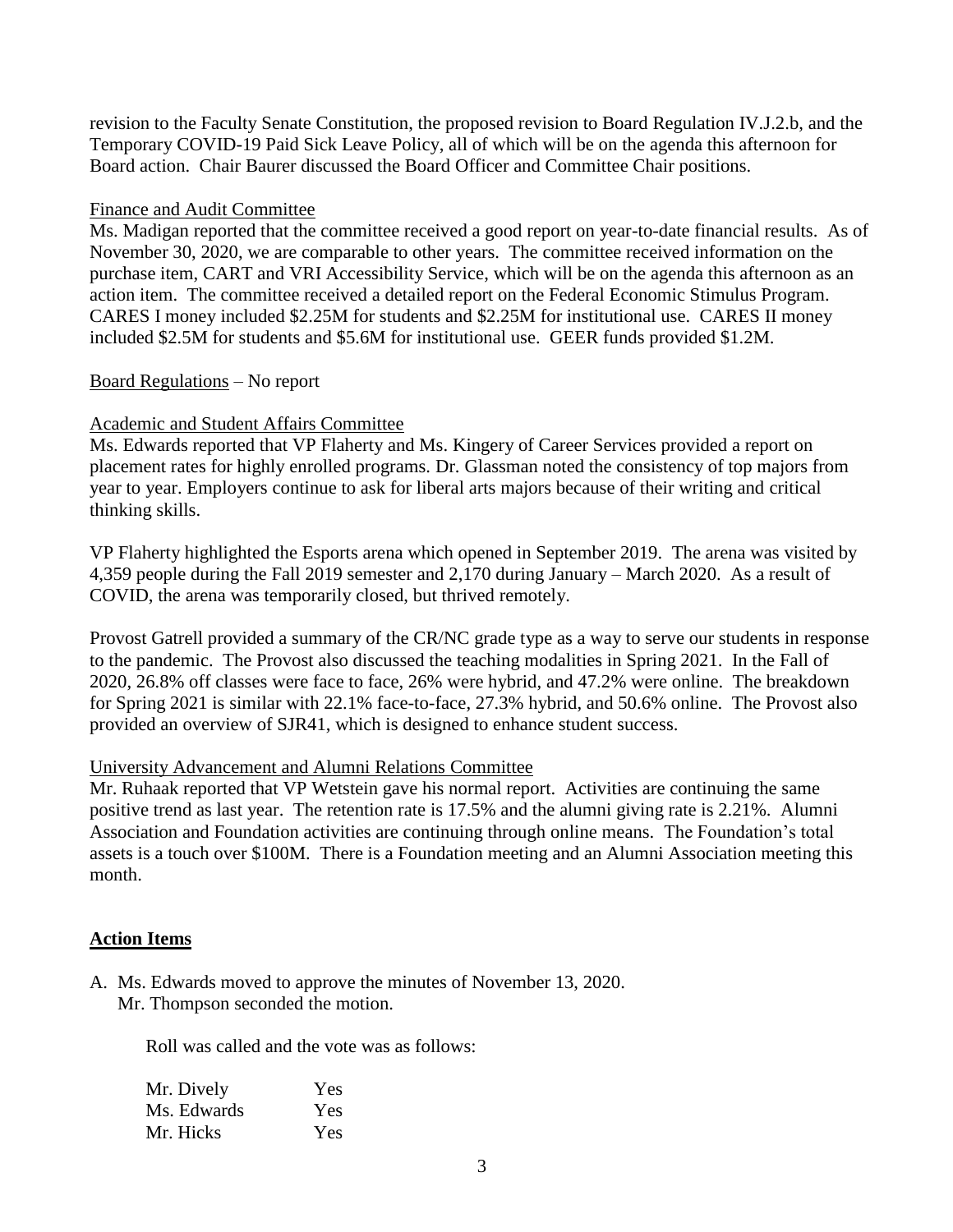revision to the Faculty Senate Constitution, the proposed revision to Board Regulation IV.J.2.b, and the Temporary COVID-19 Paid Sick Leave Policy, all of which will be on the agenda this afternoon for Board action. Chair Baurer discussed the Board Officer and Committee Chair positions.

### Finance and Audit Committee

Ms. Madigan reported that the committee received a good report on year-to-date financial results. As of November 30, 2020, we are comparable to other years. The committee received information on the purchase item, CART and VRI Accessibility Service, which will be on the agenda this afternoon as an action item. The committee received a detailed report on the Federal Economic Stimulus Program. CARES I money included \$2.25M for students and \$2.25M for institutional use. CARES II money included \$2.5M for students and \$5.6M for institutional use. GEER funds provided \$1.2M.

## Board Regulations – No report

# Academic and Student Affairs Committee

Ms. Edwards reported that VP Flaherty and Ms. Kingery of Career Services provided a report on placement rates for highly enrolled programs. Dr. Glassman noted the consistency of top majors from year to year. Employers continue to ask for liberal arts majors because of their writing and critical thinking skills.

VP Flaherty highlighted the Esports arena which opened in September 2019. The arena was visited by 4,359 people during the Fall 2019 semester and 2,170 during January – March 2020. As a result of COVID, the arena was temporarily closed, but thrived remotely.

Provost Gatrell provided a summary of the CR/NC grade type as a way to serve our students in response to the pandemic. The Provost also discussed the teaching modalities in Spring 2021. In the Fall of 2020, 26.8% off classes were face to face, 26% were hybrid, and 47.2% were online. The breakdown for Spring 2021 is similar with 22.1% face-to-face, 27.3% hybrid, and 50.6% online. The Provost also provided an overview of SJR41, which is designed to enhance student success.

### University Advancement and Alumni Relations Committee

Mr. Ruhaak reported that VP Wetstein gave his normal report. Activities are continuing the same positive trend as last year. The retention rate is 17.5% and the alumni giving rate is 2.21%. Alumni Association and Foundation activities are continuing through online means. The Foundation's total assets is a touch over \$100M. There is a Foundation meeting and an Alumni Association meeting this month.

### **Action Items**

A. Ms. Edwards moved to approve the minutes of November 13, 2020. Mr. Thompson seconded the motion.

Roll was called and the vote was as follows:

| Mr. Dively  | Yes |
|-------------|-----|
| Ms. Edwards | Yes |
| Mr. Hicks   | Yes |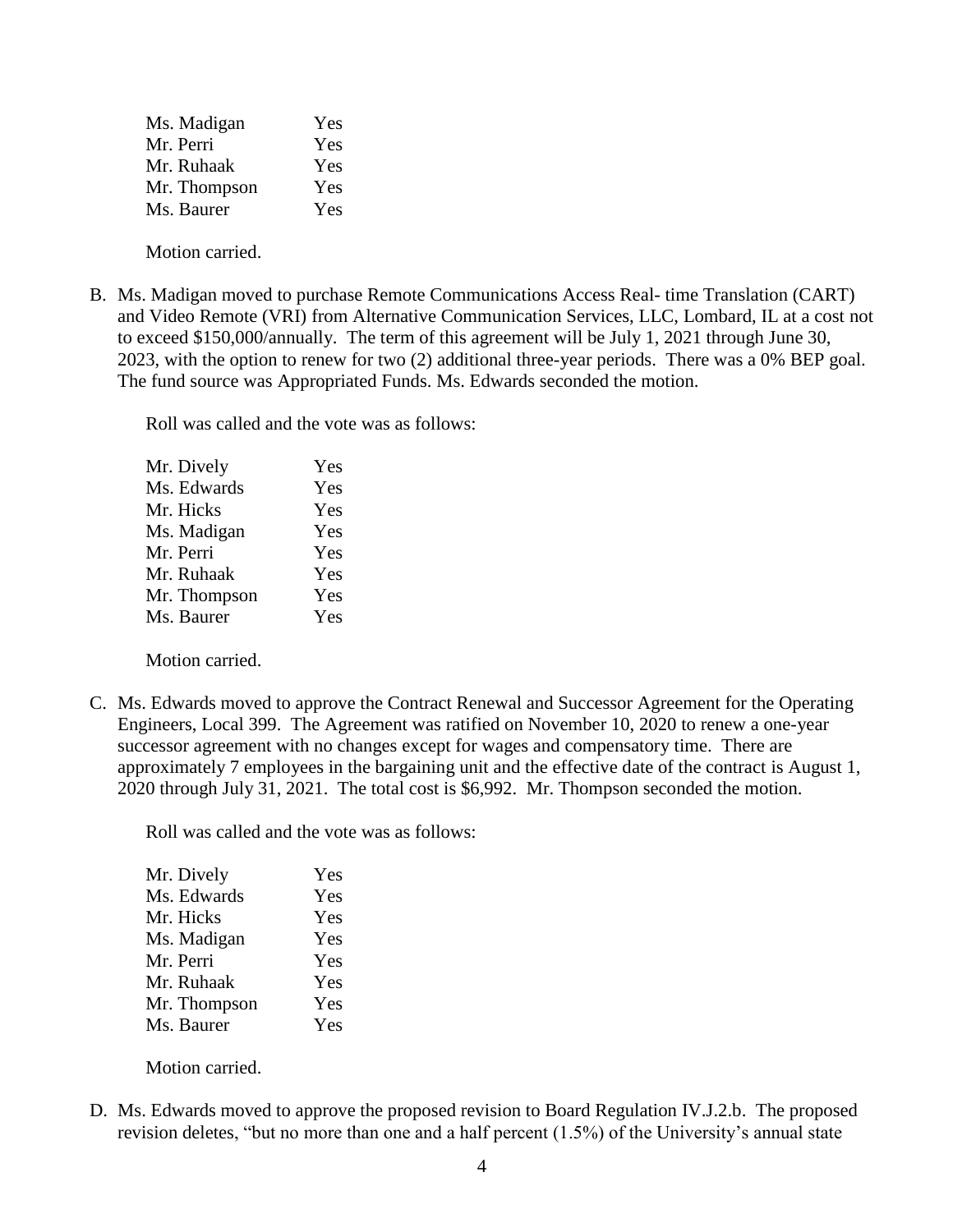| Ms. Madigan  | Yes |
|--------------|-----|
| Mr. Perri    | Yes |
| Mr. Ruhaak   | Yes |
| Mr. Thompson | Yes |
| Ms. Baurer   | Yes |
|              |     |

Motion carried.

B. Ms. Madigan moved to purchase Remote Communications Access Real- time Translation (CART) and Video Remote (VRI) from Alternative Communication Services, LLC, Lombard, IL at a cost not to exceed \$150,000/annually. The term of this agreement will be July 1, 2021 through June 30, 2023, with the option to renew for two (2) additional three-year periods. There was a 0% BEP goal. The fund source was Appropriated Funds. Ms. Edwards seconded the motion.

Roll was called and the vote was as follows:

| Mr. Dively   | Yes |
|--------------|-----|
| Ms. Edwards  | Yes |
| Mr. Hicks    | Yes |
| Ms. Madigan  | Yes |
| Mr. Perri    | Yes |
| Mr. Ruhaak   | Yes |
| Mr. Thompson | Yes |
| Ms. Baurer   | Yes |

Motion carried.

C. Ms. Edwards moved to approve the Contract Renewal and Successor Agreement for the Operating Engineers, Local 399. The Agreement was ratified on November 10, 2020 to renew a one-year successor agreement with no changes except for wages and compensatory time. There are approximately 7 employees in the bargaining unit and the effective date of the contract is August 1, 2020 through July 31, 2021. The total cost is \$6,992. Mr. Thompson seconded the motion.

Roll was called and the vote was as follows:

| Mr. Dively   | Yes |
|--------------|-----|
| Ms. Edwards  | Yes |
| Mr. Hicks    | Yes |
| Ms. Madigan  | Yes |
| Mr. Perri    | Yes |
| Mr. Ruhaak   | Yes |
| Mr. Thompson | Yes |
| Ms. Baurer   | Yes |

Motion carried.

D. Ms. Edwards moved to approve the proposed revision to Board Regulation IV.J.2.b. The proposed revision deletes, "but no more than one and a half percent (1.5%) of the University's annual state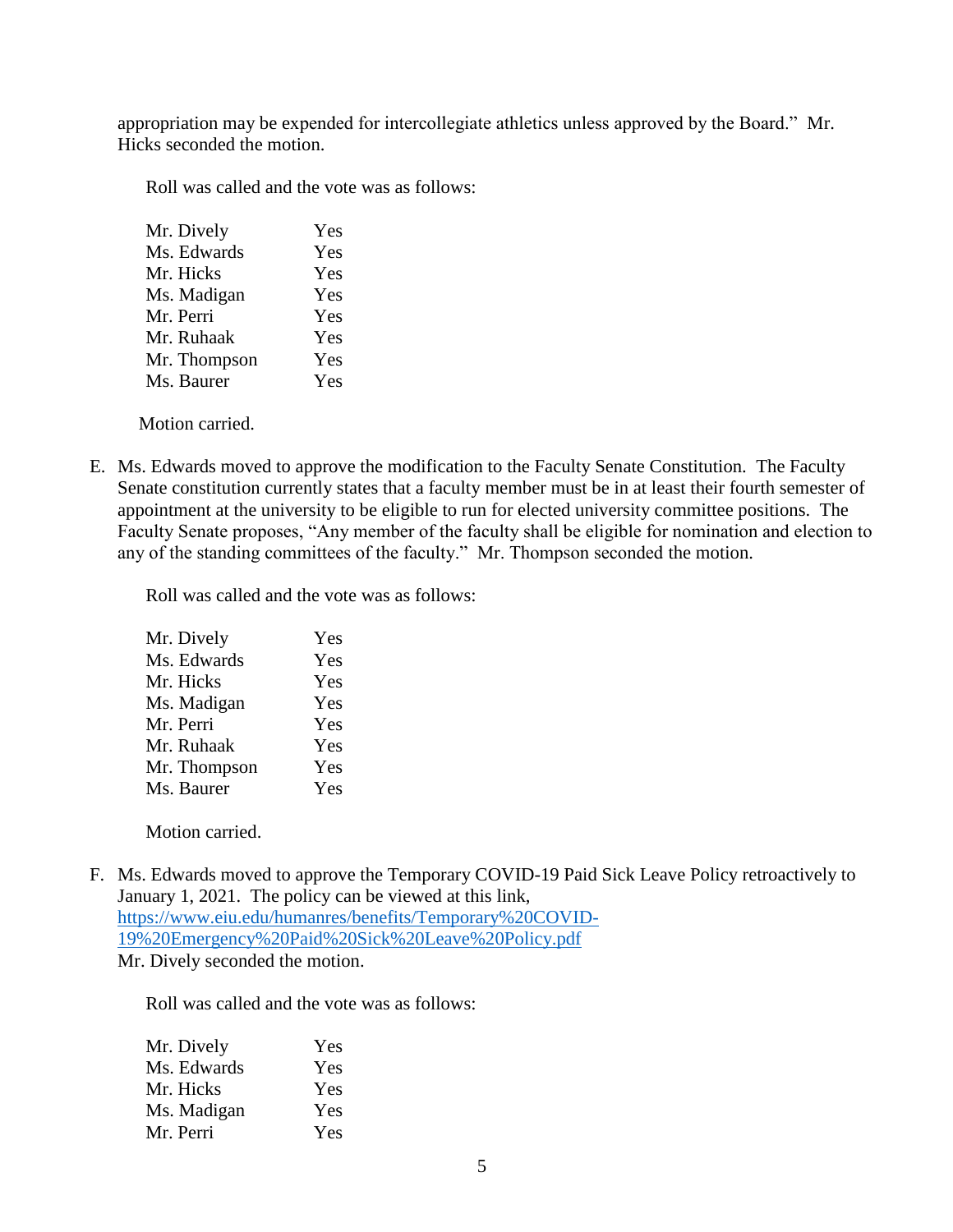appropriation may be expended for intercollegiate athletics unless approved by the Board." Mr. Hicks seconded the motion.

Roll was called and the vote was as follows:

| Mr. Dively   | Yes |
|--------------|-----|
| Ms. Edwards  | Yes |
| Mr. Hicks    | Yes |
| Ms. Madigan  | Yes |
| Mr. Perri    | Yes |
| Mr. Ruhaak   | Yes |
| Mr. Thompson | Yes |
| Ms. Baurer   | Yes |
|              |     |

Motion carried.

E. Ms. Edwards moved to approve the modification to the Faculty Senate Constitution. The Faculty Senate constitution currently states that a faculty member must be in at least their fourth semester of appointment at the university to be eligible to run for elected university committee positions. The Faculty Senate proposes, "Any member of the faculty shall be eligible for nomination and election to any of the standing committees of the faculty." Mr. Thompson seconded the motion.

Roll was called and the vote was as follows:

| Mr. Dively   | Yes |
|--------------|-----|
| Ms. Edwards  | Yes |
| Mr. Hicks    | Yes |
| Ms. Madigan  | Yes |
| Mr. Perri    | Yes |
| Mr. Ruhaak   | Yes |
| Mr. Thompson | Yes |
| Ms. Baurer   | Yes |
|              |     |

Motion carried.

F. Ms. Edwards moved to approve the Temporary COVID-19 Paid Sick Leave Policy retroactively to January 1, 2021. The policy can be viewed at this link, [https://www.eiu.edu/humanres/benefits/Temporary%20COVID-](https://www.eiu.edu/humanres/benefits/Temporary%20COVID-19%20Emergency%20Paid%20Sick%20Leave%20Policy.pdf)[19%20Emergency%20Paid%20Sick%20Leave%20Policy.pdf](https://www.eiu.edu/humanres/benefits/Temporary%20COVID-19%20Emergency%20Paid%20Sick%20Leave%20Policy.pdf)  Mr. Dively seconded the motion.

Roll was called and the vote was as follows:

| Mr. Dively  | Yes |
|-------------|-----|
| Ms. Edwards | Yes |
| Mr. Hicks   | Yes |
| Ms. Madigan | Yes |
| Mr. Perri   | Yes |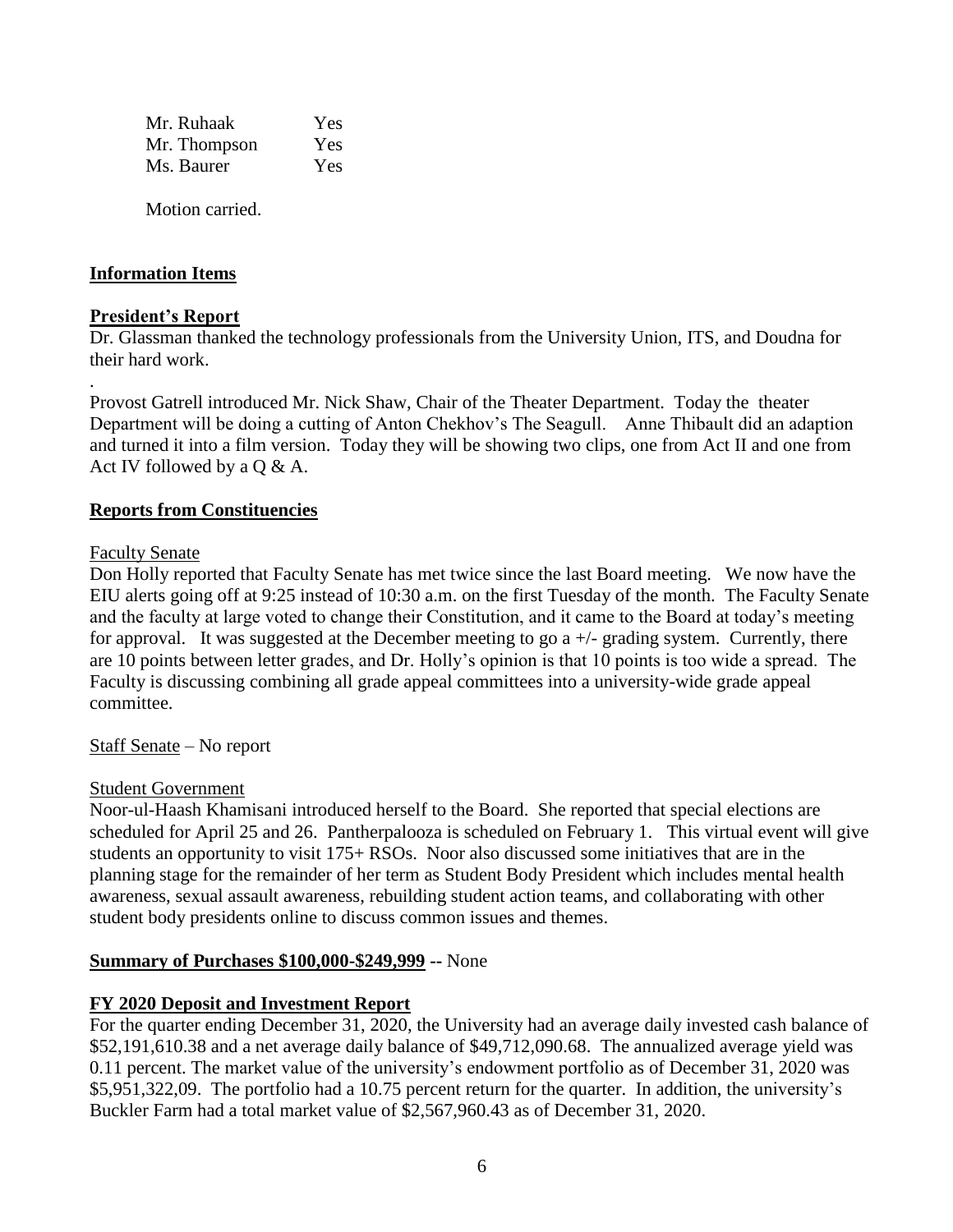| Mr. Ruhaak   | Yes. |
|--------------|------|
| Mr. Thompson | Yes. |
| Ms. Baurer   | Yes. |
|              |      |

Motion carried.

## **Information Items**

### **President's Report**

.

Dr. Glassman thanked the technology professionals from the University Union, ITS, and Doudna for their hard work.

Provost Gatrell introduced Mr. Nick Shaw, Chair of the Theater Department. Today the theater Department will be doing a cutting of Anton Chekhov's The Seagull. Anne Thibault did an adaption and turned it into a film version. Today they will be showing two clips, one from Act II and one from Act IV followed by a Q & A.

### **Reports from Constituencies**

#### Faculty Senate

Don Holly reported that Faculty Senate has met twice since the last Board meeting. We now have the EIU alerts going off at 9:25 instead of 10:30 a.m. on the first Tuesday of the month. The Faculty Senate and the faculty at large voted to change their Constitution, and it came to the Board at today's meeting for approval. It was suggested at the December meeting to go  $a +/2$  grading system. Currently, there are 10 points between letter grades, and Dr. Holly's opinion is that 10 points is too wide a spread. The Faculty is discussing combining all grade appeal committees into a university-wide grade appeal committee.

Staff Senate – No report

#### Student Government

Noor-ul-Haash Khamisani introduced herself to the Board. She reported that special elections are scheduled for April 25 and 26. Pantherpalooza is scheduled on February 1. This virtual event will give students an opportunity to visit 175+ RSOs. Noor also discussed some initiatives that are in the planning stage for the remainder of her term as Student Body President which includes mental health awareness, sexual assault awareness, rebuilding student action teams, and collaborating with other student body presidents online to discuss common issues and themes.

### **Summary of Purchases \$100,000-\$249,999 --** None

### **FY 2020 Deposit and Investment Report**

For the quarter ending December 31, 2020, the University had an average daily invested cash balance of \$52,191,610.38 and a net average daily balance of \$49,712,090.68. The annualized average yield was 0.11 percent. The market value of the university's endowment portfolio as of December 31, 2020 was \$5,951,322,09. The portfolio had a 10.75 percent return for the quarter. In addition, the university's Buckler Farm had a total market value of \$2,567,960.43 as of December 31, 2020.